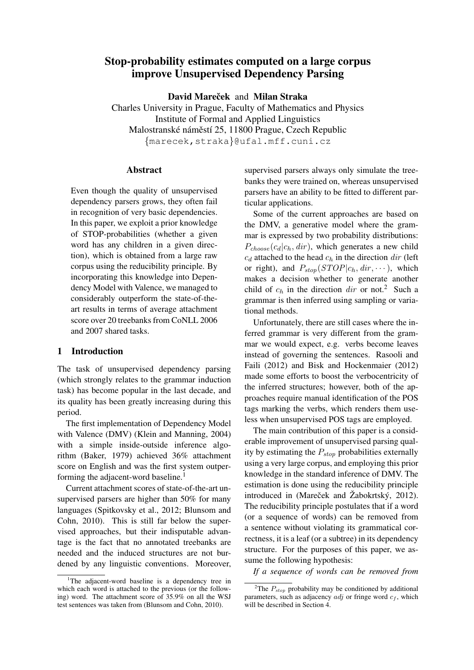# Stop-probability estimates computed on a large corpus improve Unsupervised Dependency Parsing

David Mareček and Milan Straka

Charles University in Prague, Faculty of Mathematics and Physics Institute of Formal and Applied Linguistics Malostranské náměstí 25, 11800 Prague, Czech Republic {marecek,straka}@ufal.mff.cuni.cz

# Abstract

Even though the quality of unsupervised dependency parsers grows, they often fail in recognition of very basic dependencies. In this paper, we exploit a prior knowledge of STOP-probabilities (whether a given word has any children in a given direction), which is obtained from a large raw corpus using the reducibility principle. By incorporating this knowledge into Dependency Model with Valence, we managed to considerably outperform the state-of-theart results in terms of average attachment score over 20 treebanks from CoNLL 2006 and 2007 shared tasks.

# 1 Introduction

The task of unsupervised dependency parsing (which strongly relates to the grammar induction task) has become popular in the last decade, and its quality has been greatly increasing during this period.

The first implementation of Dependency Model with Valence (DMV) (Klein and Manning, 2004) with a simple inside-outside inference algorithm (Baker, 1979) achieved 36% attachment score on English and was the first system outperforming the adjacent-word baseline.<sup>1</sup>

Current attachment scores of state-of-the-art unsupervised parsers are higher than 50% for many languages (Spitkovsky et al., 2012; Blunsom and Cohn, 2010). This is still far below the supervised approaches, but their indisputable advantage is the fact that no annotated treebanks are needed and the induced structures are not burdened by any linguistic conventions. Moreover, supervised parsers always only simulate the treebanks they were trained on, whereas unsupervised parsers have an ability to be fitted to different particular applications.

Some of the current approaches are based on the DMV, a generative model where the grammar is expressed by two probability distributions:  $P_{choose}(c_d|c_h, dir)$ , which generates a new child  $c_d$  attached to the head  $c_h$  in the direction dir (left or right), and  $P_{stop}(STOP | c_h, dir, \cdots)$ , which makes a decision whether to generate another child of  $c_h$  in the direction dir or not.<sup>2</sup> Such a grammar is then inferred using sampling or variational methods.

Unfortunately, there are still cases where the inferred grammar is very different from the grammar we would expect, e.g. verbs become leaves instead of governing the sentences. Rasooli and Faili (2012) and Bisk and Hockenmaier (2012) made some efforts to boost the verbocentricity of the inferred structures; however, both of the approaches require manual identification of the POS tags marking the verbs, which renders them useless when unsupervised POS tags are employed.

The main contribution of this paper is a considerable improvement of unsupervised parsing quality by estimating the  $P_{stop}$  probabilities externally using a very large corpus, and employing this prior knowledge in the standard inference of DMV. The estimation is done using the reducibility principle introduced in (Mareček and  $\check{Z}$ abokrtský, 2012). The reducibility principle postulates that if a word (or a sequence of words) can be removed from a sentence without violating its grammatical correctness, it is a leaf (or a subtree) in its dependency structure. For the purposes of this paper, we assume the following hypothesis:

*If a sequence of words can be removed from*

<sup>&</sup>lt;sup>1</sup>The adjacent-word baseline is a dependency tree in which each word is attached to the previous (or the following) word. The attachment score of 35.9% on all the WSJ test sentences was taken from (Blunsom and Cohn, 2010).

<sup>&</sup>lt;sup>2</sup>The  $P_{stop}$  probability may be conditioned by additional parameters, such as adjacency *adj* or fringe word  $c_f$ , which will be described in Section 4.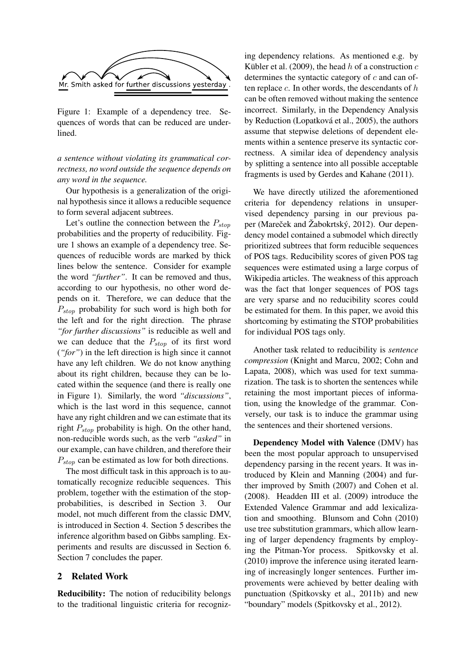

Figure 1: Example of a dependency tree. Sequences of words that can be reduced are underlined.

*a sentence without violating its grammatical correctness, no word outside the sequence depends on any word in the sequence.*

Our hypothesis is a generalization of the original hypothesis since it allows a reducible sequence to form several adjacent subtrees.

Let's outline the connection between the  $P_{stop}$ probabilities and the property of reducibility. Figure 1 shows an example of a dependency tree. Sequences of reducible words are marked by thick lines below the sentence. Consider for example the word *"further"*. It can be removed and thus, according to our hypothesis, no other word depends on it. Therefore, we can deduce that the  $P_{ston}$  probability for such word is high both for the left and for the right direction. The phrase *"for further discussions"* is reducible as well and we can deduce that the  $P_{stop}$  of its first word (*"for"*) in the left direction is high since it cannot have any left children. We do not know anything about its right children, because they can be located within the sequence (and there is really one in Figure 1). Similarly, the word *"discussions"*, which is the last word in this sequence, cannot have any right children and we can estimate that its right  $P_{stop}$  probability is high. On the other hand, non-reducible words such, as the verb *"asked"* in our example, can have children, and therefore their  $P_{stop}$  can be estimated as low for both directions.

The most difficult task in this approach is to automatically recognize reducible sequences. This problem, together with the estimation of the stopprobabilities, is described in Section 3. Our model, not much different from the classic DMV, is introduced in Section 4. Section 5 describes the inference algorithm based on Gibbs sampling. Experiments and results are discussed in Section 6. Section 7 concludes the paper.

## 2 Related Work

Reducibility: The notion of reducibility belongs to the traditional linguistic criteria for recogniz-

ing dependency relations. As mentioned e.g. by Kübler et al. (2009), the head  $h$  of a construction  $c$ determines the syntactic category of  $c$  and can often replace  $c$ . In other words, the descendants of  $h$ can be often removed without making the sentence incorrect. Similarly, in the Dependency Analysis by Reduction (Lopatková et al., 2005), the authors assume that stepwise deletions of dependent elements within a sentence preserve its syntactic correctness. A similar idea of dependency analysis by splitting a sentence into all possible acceptable fragments is used by Gerdes and Kahane (2011).

We have directly utilized the aforementioned criteria for dependency relations in unsupervised dependency parsing in our previous paper (Mareček and Žabokrtský, 2012). Our dependency model contained a submodel which directly prioritized subtrees that form reducible sequences of POS tags. Reducibility scores of given POS tag sequences were estimated using a large corpus of Wikipedia articles. The weakness of this approach was the fact that longer sequences of POS tags are very sparse and no reducibility scores could be estimated for them. In this paper, we avoid this shortcoming by estimating the STOP probabilities for individual POS tags only.

Another task related to reducibility is *sentence compression* (Knight and Marcu, 2002; Cohn and Lapata, 2008), which was used for text summarization. The task is to shorten the sentences while retaining the most important pieces of information, using the knowledge of the grammar. Conversely, our task is to induce the grammar using the sentences and their shortened versions.

Dependency Model with Valence (DMV) has been the most popular approach to unsupervised dependency parsing in the recent years. It was introduced by Klein and Manning (2004) and further improved by Smith (2007) and Cohen et al. (2008). Headden III et al. (2009) introduce the Extended Valence Grammar and add lexicalization and smoothing. Blunsom and Cohn (2010) use tree substitution grammars, which allow learning of larger dependency fragments by employing the Pitman-Yor process. Spitkovsky et al. (2010) improve the inference using iterated learning of increasingly longer sentences. Further improvements were achieved by better dealing with punctuation (Spitkovsky et al., 2011b) and new "boundary" models (Spitkovsky et al., 2012).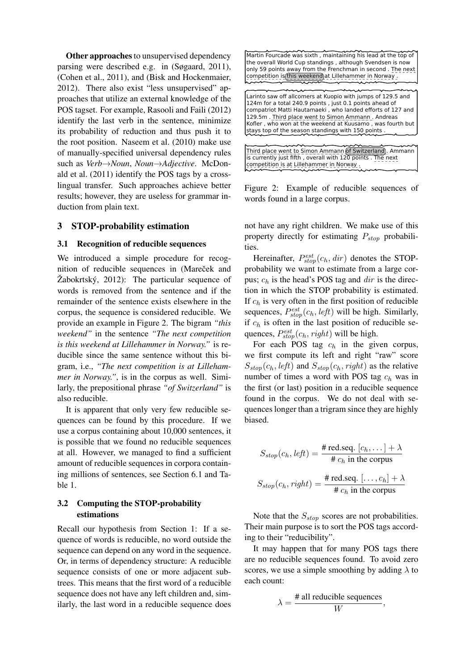Other approaches to unsupervised dependency parsing were described e.g. in (Søgaard, 2011), (Cohen et al., 2011), and (Bisk and Hockenmaier, 2012). There also exist "less unsupervised" approaches that utilize an external knowledge of the POS tagset. For example, Rasooli and Faili (2012) identify the last verb in the sentence, minimize its probability of reduction and thus push it to the root position. Naseem et al. (2010) make use of manually-specified universal dependency rules such as *Verb*→*Noun*, *Noun*→*Adjective*. McDonald et al. (2011) identify the POS tags by a crosslingual transfer. Such approaches achieve better results; however, they are useless for grammar induction from plain text.

## 3 STOP-probability estimation

#### 3.1 Recognition of reducible sequences

We introduced a simple procedure for recognition of reducible sequences in (Mareček and  $\check{Z}$ abokrtský, 2012): The particular sequence of words is removed from the sentence and if the remainder of the sentence exists elsewhere in the corpus, the sequence is considered reducible. We provide an example in Figure 2. The bigram *"this weekend"* in the sentence *"The next competition is this weekend at Lillehammer in Norway."* is reducible since the same sentence without this bigram, i.e., *"The next competition is at Lillehammer in Norway."*, is in the corpus as well. Similarly, the prepositional phrase *"of Switzerland"* is also reducible.

It is apparent that only very few reducible sequences can be found by this procedure. If we use a corpus containing about 10,000 sentences, it is possible that we found no reducible sequences at all. However, we managed to find a sufficient amount of reducible sequences in corpora containing millions of sentences, see Section 6.1 and Table 1.

# 3.2 Computing the STOP-probability estimations

Recall our hypothesis from Section 1: If a sequence of words is reducible, no word outside the sequence can depend on any word in the sequence. Or, in terms of dependency structure: A reducible sequence consists of one or more adjacent subtrees. This means that the first word of a reducible sequence does not have any left children and, similarly, the last word in a reducible sequence does

Martin Fourcade was sixth , maintaining his lead at the top of the overall World Cup standings , although Svendsen is now only 59 points away from the Frenchman in second . The next competition is this weekend at Lillehammer in Norway . Larinto saw off allcomers at Kuopio with jumps of 129.5 and 124m for a total 240.9 points , just 0.1 points ahead of compatriot Matti Hautamaeki , who landed efforts of 127 and 129.5m . Third place went to Simon Ammann . Andreas Kofler , who won at the weekend at Kuusamo , was fourth but stays top of the season standings with 150 points Third place went to Simon Ammann of Switzerland). Ammann is currently just fifth , overall with 120 points . The next competition is at Lillehammer in Norway .

Figure 2: Example of reducible sequences of words found in a large corpus.

not have any right children. We make use of this property directly for estimating  $P_{stop}$  probabilities.

Hereinafter,  $P_{stop}^{est}(c_h, dir)$  denotes the STOPprobability we want to estimate from a large corpus;  $c_h$  is the head's POS tag and dir is the direction in which the STOP probability is estimated. If  $c_h$  is very often in the first position of reducible sequences,  $P_{stop}^{est}(c_h, left)$  will be high. Similarly, if  $c_h$  is often in the last position of reducible sequences,  $P_{stop}^{est}(c_h, right)$  will be high.

For each POS tag  $c_h$  in the given corpus, we first compute its left and right "raw" score  $S_{stop}(c_h, left)$  and  $S_{stop}(c_h, right)$  as the relative number of times a word with POS tag  $c_h$  was in the first (or last) position in a reducible sequence found in the corpus. We do not deal with sequences longer than a trigram since they are highly biased.

$$
S_{stop}(c_h, left) = \frac{\# \text{ red.seq. } [c_h, \dots] + \lambda}{\# c_h \text{ in the corpus}}
$$

$$
S_{stop}(c_h, right) = \frac{\# \text{ red.seq. } [\dots, c_h] + \lambda}{\# c_h \text{ in the corpus}}
$$

Note that the  $S_{stop}$  scores are not probabilities. Their main purpose is to sort the POS tags according to their "reducibility".

It may happen that for many POS tags there are no reducible sequences found. To avoid zero scores, we use a simple smoothing by adding  $\lambda$  to each count:

$$
\lambda = \frac{\text{\# all reducible sequences}}{W},
$$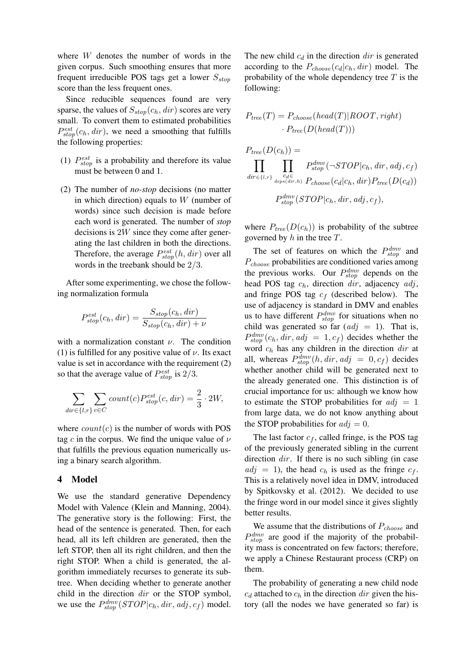where W denotes the number of words in the given corpus. Such smoothing ensures that more frequent irreducible POS tags get a lower  $S_{stop}$ score than the less frequent ones.

Since reducible sequences found are very sparse, the values of  $S_{stop}(c_h, dir)$  scores are very small. To convert them to estimated probabilities  $P_{stop}^{est}(c_h, dir)$ , we need a smoothing that fulfills the following properties:

- (1)  $P_{stop}^{est}$  is a probability and therefore its value must be between 0 and 1.
- (2) The number of *no-stop* decisions (no matter in which direction) equals to  $W$  (number of words) since such decision is made before each word is generated. The number of *stop* decisions is 2W since they come after generating the last children in both the directions. Therefore, the average  $P_{stop}^{est}(h, dir)$  over all words in the treebank should be 2/3.

After some experimenting, we chose the following normalization formula

$$
P_{stop}^{est}(c_h, dir) = \frac{S_{stop}(c_h, dir)}{S_{stop}(c_h, dir) + \nu}
$$

with a normalization constant  $\nu$ . The condition (1) is fulfilled for any positive value of  $\nu$ . Its exact value is set in accordance with the requirement (2) so that the average value of  $P_{stop}^{est}$  is 2/3.

$$
\sum_{dir \in \{l,r\}} \sum_{c \in C} count(c) P_{stop}^{est}(c, dir) = \frac{2}{3} \cdot 2W,
$$

where  $count(c)$  is the number of words with POS tag c in the corpus. We find the unique value of  $\nu$ that fulfills the previous equation numerically using a binary search algorithm.

#### 4 Model

We use the standard generative Dependency Model with Valence (Klein and Manning, 2004). The generative story is the following: First, the head of the sentence is generated. Then, for each head, all its left children are generated, then the left STOP, then all its right children, and then the right STOP. When a child is generated, the algorithm immediately recurses to generate its subtree. When deciding whether to generate another child in the direction dir or the STOP symbol, we use the  $P_{stop}^{dmv}(STOP | c_h, dir, adj, c_f)$  model.

The new child  $c_d$  in the direction dir is generated according to the  $P_{choose}(c_d|c_h, dir)$  model. The probability of the whole dependency tree  $T$  is the following:

$$
P_{tree}(T) = P_{choose}(head(T)|ROOT, right)
$$

$$
P_{tree}(D(head(T)))
$$

$$
P_{tree}(D(c_h)) = \prod_{\substack{c_{d} \in \text{supp}(dir, h) \\ \text{div} \in \{l, r\} \\ P_{stop}(dir, h) \ P_{choose}(c_d | c_h, dir) P_{tree}(D(c_d))}} P_{stop}^{dmv}(STOP|c_h, dir, adj, cf),
$$

where  $P_{tree}(D(c_h))$  is probability of the subtree governed by  $h$  in the tree  $T$ .

The set of features on which the  $P_{stop}^{dmv}$  and  $P_{choose}$  probabilities are conditioned varies among the previous works. Our  $P_{stop}^{dmv}$  depends on the head POS tag  $c_h$ , direction dir, adjacency  $adj$ , and fringe POS tag  $c_f$  (described below). The use of adjacency is standard in DMV and enables us to have different  $P_{stop}^{dmv}$  for situations when no child was generated so far  $(adj = 1)$ . That is,  $P_{stop}^{dmv}(c_h, dir, adj = 1, c_f)$  decides whether the word  $c_h$  has any children in the direction dir at all, whereas  $P_{stop}^{dmv}(h, dir, adj = 0, c_f)$  decides whether another child will be generated next to the already generated one. This distinction is of crucial importance for us: although we know how to estimate the STOP probabilities for  $adj = 1$ from large data, we do not know anything about the STOP probabilities for  $adj = 0$ .

The last factor  $c_f$ , called fringe, is the POS tag of the previously generated sibling in the current direction  $dir$ . If there is no such sibling (in case  $adj = 1$ , the head  $c_h$  is used as the fringe  $c_f$ . This is a relatively novel idea in DMV, introduced by Spitkovsky et al. (2012). We decided to use the fringe word in our model since it gives slightly better results.

We assume that the distributions of  $P_{choose}$  and  $P_{stop}^{dmv}$  are good if the majority of the probability mass is concentrated on few factors; therefore, we apply a Chinese Restaurant process (CRP) on them.

The probability of generating a new child node  $c_d$  attached to  $c_h$  in the direction dir given the history (all the nodes we have generated so far) is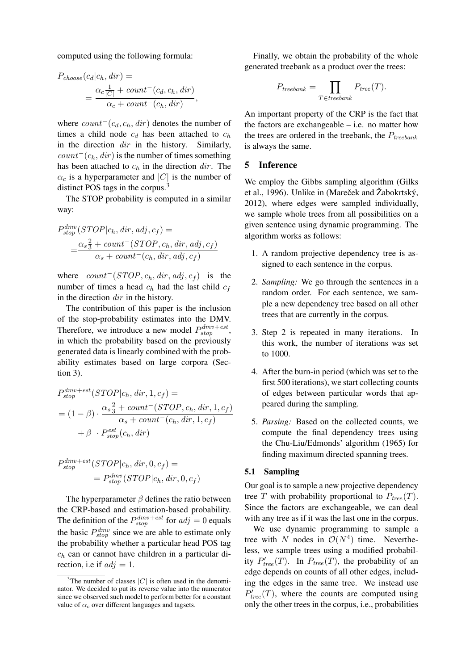computed using the following formula:

$$
P_{choose}(c_d|c_h, dir) =
$$
  
= 
$$
\frac{\alpha_c \frac{1}{|C|} + count^-(c_d, c_h, dir)}{\alpha_c + count^-(c_h, dir)}
$$

where  $count^-(c_d, c_h, dir)$  denotes the number of times a child node  $c_d$  has been attached to  $c_h$ in the direction dir in the history. Similarly,  $count^{-}(c_h, dir)$  is the number of times something has been attached to  $c_h$  in the direction dir. The  $\alpha_c$  is a hyperparameter and  $|C|$  is the number of distinct POS tags in the corpus.<sup>3</sup>

,

The STOP probability is computed in a similar way:

$$
P_{stop}^{dmv}(STOP | c_h, dir, adj, cf) =
$$
  
= 
$$
\frac{\alpha_s \frac{2}{3} + count^{-}(STOP, c_h, dir, adj, cf)}{\alpha_s + count^{-}(c_h, dir, adj, cf)}
$$

where  $count^{-}(STOP, c_h, dir, adj, c_f)$  is the number of times a head  $c_h$  had the last child  $c_f$ in the direction dir in the history.

The contribution of this paper is the inclusion of the stop-probability estimates into the DMV. Therefore, we introduce a new model  $P_{stop}^{dmv + est}$ , in which the probability based on the previously generated data is linearly combined with the probability estimates based on large corpora (Section 3).

$$
P_{stop}^{dmv + est}(STOP | c_h, dir, 1, c_f) =
$$
  
=  $(1 - \beta) \cdot \frac{\alpha_s \frac{2}{3} + count^-(STOP, c_h, dir, 1, c_f)}{\alpha_s + count^-(c_h, dir, 1, c_f)}$   
+  $\beta \cdot P_{stop}^{est}(c_h, dir)$ 

$$
P_{stop}^{dmv + est}(STOP | c_h, dir, 0, c_f) =
$$
  
= 
$$
P_{stop}^{dmv}(STOP | c_h, dir, 0, c_f)
$$

The hyperparameter  $\beta$  defines the ratio between the CRP-based and estimation-based probability. The definition of the  $P_{stop}^{dmv+est}$  for  $adj = 0$  equals the basic  $P_{stop}^{dmv}$  since we are able to estimate only the probability whether a particular head POS tag  $c_h$  can or cannot have children in a particular direction, i.e if  $adj = 1$ .

Finally, we obtain the probability of the whole generated treebank as a product over the trees:

$$
P_{treebank} = \prod_{T \in treebank} P_{tree}(T).
$$

An important property of the CRP is the fact that the factors are exchangeable  $-$  i.e. no matter how the trees are ordered in the treebank, the  $P_{treebank}$ is always the same.

# 5 Inference

We employ the Gibbs sampling algorithm (Gilks et al., 1996). Unlike in (Mareček and Žabokrtský, 2012), where edges were sampled individually, we sample whole trees from all possibilities on a given sentence using dynamic programming. The algorithm works as follows:

- 1. A random projective dependency tree is assigned to each sentence in the corpus.
- 2. *Sampling:* We go through the sentences in a random order. For each sentence, we sample a new dependency tree based on all other trees that are currently in the corpus.
- 3. Step 2 is repeated in many iterations. In this work, the number of iterations was set to 1000.
- 4. After the burn-in period (which was set to the first 500 iterations), we start collecting counts of edges between particular words that appeared during the sampling.
- 5. *Parsing:* Based on the collected counts, we compute the final dependency trees using the Chu-Liu/Edmonds' algorithm (1965) for finding maximum directed spanning trees.

#### 5.1 Sampling

Our goal is to sample a new projective dependency tree T with probability proportional to  $P_{tree}(T)$ . Since the factors are exchangeable, we can deal with any tree as if it was the last one in the corpus.

We use dynamic programming to sample a tree with N nodes in  $\mathcal{O}(N^4)$  time. Nevertheless, we sample trees using a modified probability  $P'_{tree}(T)$ . In  $P_{tree}(T)$ , the probability of an edge depends on counts of all other edges, including the edges in the same tree. We instead use  $P'_{tree}(T)$ , where the counts are computed using only the other trees in the corpus, i.e., probabilities

<sup>&</sup>lt;sup>3</sup>The number of classes  $|C|$  is often used in the denominator. We decided to put its reverse value into the numerator since we observed such model to perform better for a constant value of  $\alpha_c$  over different languages and tagsets.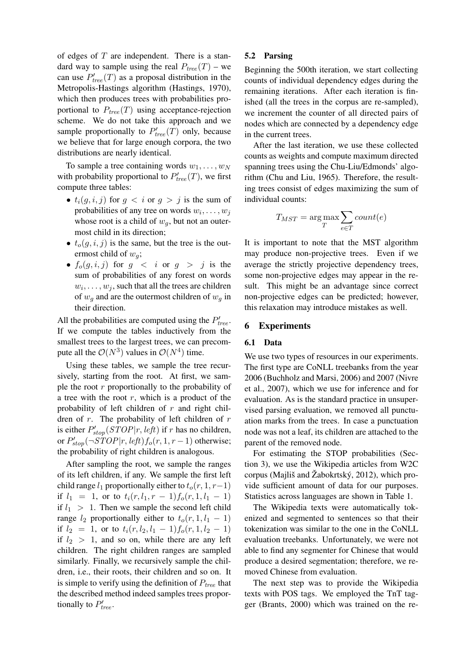of edges of  $T$  are independent. There is a standard way to sample using the real  $P_{tree}(T)$  – we can use  $P'_{tree}(T)$  as a proposal distribution in the Metropolis-Hastings algorithm (Hastings, 1970), which then produces trees with probabilities proportional to  $P_{tree}(T)$  using acceptance-rejection scheme. We do not take this approach and we sample proportionally to  $P'_{tree}(T)$  only, because we believe that for large enough corpora, the two distributions are nearly identical.

To sample a tree containing words  $w_1, \ldots, w_N$ with probability proportional to  $P'_{tree}(T)$ , we first compute three tables:

- $t_i(g, i, j)$  for  $g < i$  or  $g > j$  is the sum of probabilities of any tree on words  $w_i, \ldots, w_j$ whose root is a child of  $w_q$ , but not an outermost child in its direction;
- $t_o(q, i, j)$  is the same, but the tree is the outermost child of  $w_q$ ;
- $f_o(g, i, j)$  for  $g \lt i$  or  $g > j$  is the sum of probabilities of any forest on words  $w_i, \ldots, w_j$ , such that all the trees are children of  $w_q$  and are the outermost children of  $w_q$  in their direction.

All the probabilities are computed using the  $P'_{tree}$ . If we compute the tables inductively from the smallest trees to the largest trees, we can precompute all the  $\mathcal{O}(N^3)$  values in  $\mathcal{O}(N^4)$  time.

Using these tables, we sample the tree recursively, starting from the root. At first, we sample the root  $r$  proportionally to the probability of a tree with the root  $r$ , which is a product of the probability of left children of  $r$  and right children of  $r$ . The probability of left children of  $r$ is either  $P'_{stop}(STOP | r, left)$  if r has no children, or  $P'_{stop}(\neg \text{STOP}|r, \text{left})f_o(r, 1, r-1)$  otherwise; the probability of right children is analogous.

After sampling the root, we sample the ranges of its left children, if any. We sample the first left child range  $l_1$  proportionally either to  $t_0(r, 1, r-1)$ if  $l_1 = 1$ , or to  $t_i(r, l_1, r - 1) f_o(r, 1, l_1 - 1)$ if  $l_1 > 1$ . Then we sample the second left child range  $l_2$  proportionally either to  $t_o(r, 1, l_1 - 1)$ if  $l_2 = 1$ , or to  $t_i(r, l_2, l_1 - 1) f_o(r, 1, l_2 - 1)$ if  $l_2 > 1$ , and so on, while there are any left children. The right children ranges are sampled similarly. Finally, we recursively sample the children, i.e., their roots, their children and so on. It is simple to verify using the definition of  $P_{tree}$  that the described method indeed samples trees proportionally to  $P'_{tree}$ .

# 5.2 Parsing

Beginning the 500th iteration, we start collecting counts of individual dependency edges during the remaining iterations. After each iteration is finished (all the trees in the corpus are re-sampled), we increment the counter of all directed pairs of nodes which are connected by a dependency edge in the current trees.

After the last iteration, we use these collected counts as weights and compute maximum directed spanning trees using the Chu-Liu/Edmonds' algorithm (Chu and Liu, 1965). Therefore, the resulting trees consist of edges maximizing the sum of individual counts:

$$
T_{MST} = \underset{T}{\text{arg}\max} \sum_{e \in T} count(e)
$$

It is important to note that the MST algorithm may produce non-projective trees. Even if we average the strictly projective dependency trees, some non-projective edges may appear in the result. This might be an advantage since correct non-projective edges can be predicted; however, this relaxation may introduce mistakes as well.

## 6 Experiments

## 6.1 Data

We use two types of resources in our experiments. The first type are CoNLL treebanks from the year 2006 (Buchholz and Marsi, 2006) and 2007 (Nivre et al., 2007), which we use for inference and for evaluation. As is the standard practice in unsupervised parsing evaluation, we removed all punctuation marks from the trees. In case a punctuation node was not a leaf, its children are attached to the parent of the removed node.

For estimating the STOP probabilities (Section 3), we use the Wikipedia articles from W2C corpus (Majliš and Žabokrtský, 2012), which provide sufficient amount of data for our purposes. Statistics across languages are shown in Table 1.

The Wikipedia texts were automatically tokenized and segmented to sentences so that their tokenization was similar to the one in the CoNLL evaluation treebanks. Unfortunately, we were not able to find any segmenter for Chinese that would produce a desired segmentation; therefore, we removed Chinese from evaluation.

The next step was to provide the Wikipedia texts with POS tags. We employed the TnT tagger (Brants, 2000) which was trained on the re-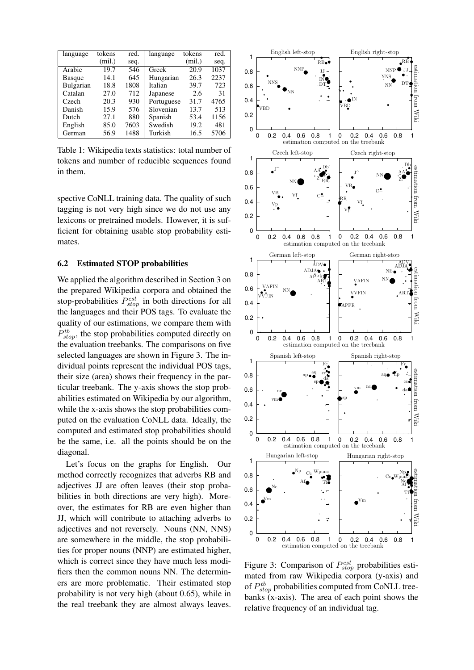| language  | tokens | red. | language   | tokens | red. |
|-----------|--------|------|------------|--------|------|
|           | (mil.) | seq. |            | (mil.) | seq. |
| Arabic    | 19.7   | 546  | Greek      | 20.9   | 1037 |
| Basque    | 14.1   | 645  | Hungarian  | 26.3   | 2237 |
| Bulgarian | 18.8   | 1808 | Italian    | 39.7   | 723  |
| Catalan   | 27.0   | 712  | Japanese   | 2.6    | 31   |
| Czech     | 20.3   | 930  | Portuguese | 31.7   | 4765 |
| Danish    | 15.9   | 576  | Slovenian  | 13.7   | 513  |
| Dutch     | 27.1   | 880  | Spanish    | 53.4   | 1156 |
| English   | 85.0   | 7603 | Swedish    | 19.2   | 481  |
| German    | 56.9   | 1488 | Turkish    | 16.5   | 5706 |

Table 1: Wikipedia texts statistics: total number of tokens and number of reducible sequences found in them.

spective CoNLL training data. The quality of such tagging is not very high since we do not use any lexicons or pretrained models. However, it is sufficient for obtaining usable stop probability estimates.

#### 6.2 Estimated STOP probabilities

We applied the algorithm described in Section 3 on the prepared Wikipedia corpora and obtained the stop-probabilities  $P_{stop}^{est}$  in both directions for all the languages and their POS tags. To evaluate the quality of our estimations, we compare them with  $P_{stop}^{tb}$ , the stop probabilities computed directly on the evaluation treebanks. The comparisons on five selected languages are shown in Figure 3. The individual points represent the individual POS tags, their size (area) shows their frequency in the particular treebank. The y-axis shows the stop probabilities estimated on Wikipedia by our algorithm, while the x-axis shows the stop probabilities computed on the evaluation CoNLL data. Ideally, the computed and estimated stop probabilities should be the same, i.e. all the points should be on the diagonal.

Let's focus on the graphs for English. Our method correctly recognizes that adverbs RB and adjectives JJ are often leaves (their stop probabilities in both directions are very high). Moreover, the estimates for RB are even higher than JJ, which will contribute to attaching adverbs to adjectives and not reversely. Nouns (NN, NNS) are somewhere in the middle, the stop probabilities for proper nouns (NNP) are estimated higher, which is correct since they have much less modifiers then the common nouns NN. The determiners are more problematic. Their estimated stop probability is not very high (about 0.65), while in the real treebank they are almost always leaves.



Figure 3: Comparison of  $P_{stop}^{est}$  probabilities estimated from raw Wikipedia corpora (y-axis) and of  $P_{stop}^{tb}$  probabilities computed from CoNLL treebanks (x-axis). The area of each point shows the relative frequency of an individual tag.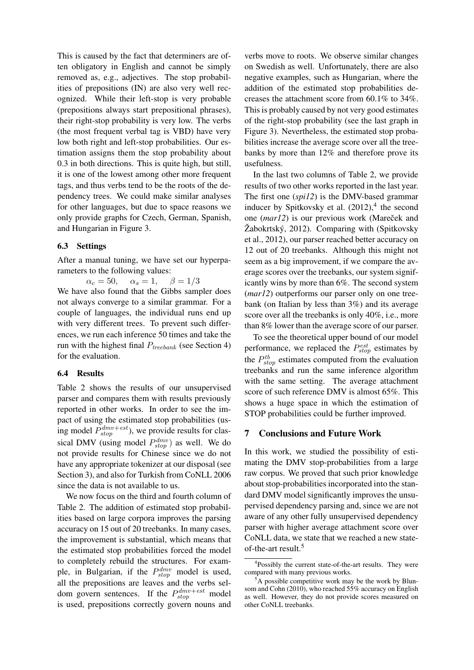This is caused by the fact that determiners are often obligatory in English and cannot be simply removed as, e.g., adjectives. The stop probabilities of prepositions (IN) are also very well recognized. While their left-stop is very probable (prepositions always start prepositional phrases), their right-stop probability is very low. The verbs (the most frequent verbal tag is VBD) have very low both right and left-stop probabilities. Our estimation assigns them the stop probability about 0.3 in both directions. This is quite high, but still, it is one of the lowest among other more frequent tags, and thus verbs tend to be the roots of the dependency trees. We could make similar analyses for other languages, but due to space reasons we only provide graphs for Czech, German, Spanish, and Hungarian in Figure 3.

## 6.3 Settings

After a manual tuning, we have set our hyperparameters to the following values:

 $\alpha_c = 50$ ,  $\alpha_s = 1$ ,  $\beta = 1/3$ We have also found that the Gibbs sampler does not always converge to a similar grammar. For a couple of languages, the individual runs end up with very different trees. To prevent such differences, we run each inference 50 times and take the run with the highest final  $P_{treebank}$  (see Section 4) for the evaluation.

# 6.4 Results

Table 2 shows the results of our unsupervised parser and compares them with results previously reported in other works. In order to see the impact of using the estimated stop probabilities (using model  $P_{stop}^{dmv+est}$ ), we provide results for classical DMV (using model  $P_{stop}^{dmv}$ ) as well. We do not provide results for Chinese since we do not have any appropriate tokenizer at our disposal (see Section 3), and also for Turkish from CoNLL 2006 since the data is not available to us.

We now focus on the third and fourth column of Table 2. The addition of estimated stop probabilities based on large corpora improves the parsing accuracy on 15 out of 20 treebanks. In many cases, the improvement is substantial, which means that the estimated stop probabilities forced the model to completely rebuild the structures. For example, in Bulgarian, if the  $P_{stop}^{dmv}$  model is used, all the prepositions are leaves and the verbs seldom govern sentences. If the  $P_{stop}^{dmv+est}$  model is used, prepositions correctly govern nouns and

verbs move to roots. We observe similar changes on Swedish as well. Unfortunately, there are also negative examples, such as Hungarian, where the addition of the estimated stop probabilities decreases the attachment score from 60.1% to 34%. This is probably caused by not very good estimates of the right-stop probability (see the last graph in Figure 3). Nevertheless, the estimated stop probabilities increase the average score over all the treebanks by more than 12% and therefore prove its usefulness.

In the last two columns of Table 2, we provide results of two other works reported in the last year. The first one (*spi12*) is the DMV-based grammar inducer by Spitkovsky et al.  $(2012)$ ,<sup>4</sup> the second one (*mar12*) is our previous work (Mareček and  $\dot{Z}$ abokrtský, 2012). Comparing with (Spitkovsky et al., 2012), our parser reached better accuracy on 12 out of 20 treebanks. Although this might not seem as a big improvement, if we compare the average scores over the treebanks, our system significantly wins by more than 6%. The second system (*mar12*) outperforms our parser only on one treebank (on Italian by less than 3%) and its average score over all the treebanks is only 40%, i.e., more than 8% lower than the average score of our parser.

To see the theoretical upper bound of our model performance, we replaced the  $P_{stop}^{est}$  estimates by the  $P_{stop}^{tb}$  estimates computed from the evaluation treebanks and run the same inference algorithm with the same setting. The average attachment score of such reference DMV is almost 65%. This shows a huge space in which the estimation of STOP probabilities could be further improved.

# 7 Conclusions and Future Work

In this work, we studied the possibility of estimating the DMV stop-probabilities from a large raw corpus. We proved that such prior knowledge about stop-probabilities incorporated into the standard DMV model significantly improves the unsupervised dependency parsing and, since we are not aware of any other fully unsupervised dependency parser with higher average attachment score over CoNLL data, we state that we reached a new stateof-the-art result.<sup>5</sup>

<sup>4</sup> Possibly the current state-of-the-art results. They were compared with many previous works.

 ${}^5$ A possible competitive work may be the work by Blunsom and Cohn (2010), who reached 55% accuracy on English as well. However, they do not provide scores measured on other CoNLL treebanks.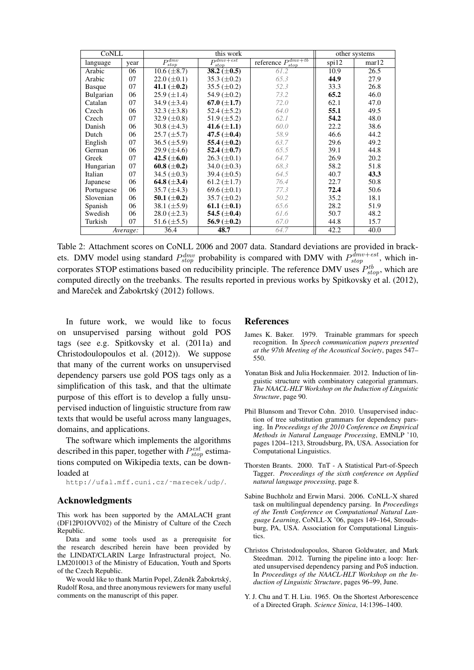| CoNLL         |          |                    | other systems              |                                                   |       |       |
|---------------|----------|--------------------|----------------------------|---------------------------------------------------|-------|-------|
| language      | year     | $P_{stop}^{dmv}$   | $P_{st}^{dmv+est}$<br>stop | reference $P_{\text{atom}}^{dmv+tb}$<br>$_{stop}$ | spi12 | mar12 |
| Arabic        | 06       | $10.6 (\pm 8.7)$   | 38.2 ( $\pm$ 0.5)          | 61.2                                              | 10.9  | 26.5  |
| Arabic        | 07       | $22.0 \ (\pm 0.1)$ | 35.3 $(\pm 0.2)$           | 65.3                                              | 44.9  | 27.9  |
| <b>Basque</b> | 07       | 41.1 $(\pm 0.2)$   | $35.5 (\pm 0.2)$           | 52.3                                              | 33.3  | 26.8  |
| Bulgarian     | 06       | $25.9 \ (\pm 1.4)$ | 54.9 $(\pm 0.2)$           | 73.2                                              | 65.2  | 46.0  |
| Catalan       | 07       | 34.9 $(\pm 3.4)$   | 67.0 ( $\pm$ 1.7)          | 72.0                                              | 62.1  | 47.0  |
| Czech         | 06       | $32.3 \ (\pm 3.8)$ | 52.4 $(\pm 5.2)$           | 64.0                                              | 55.1  | 49.5  |
| Czech         | 07       | 32.9 $(\pm 0.8)$   | 51.9 $(\pm 5.2)$           | 62.1                                              | 54.2  | 48.0  |
| Danish        | 06       | 30.8 $(\pm 4.3)$   | 41.6 $(\pm 1.1)$           | 60.0                                              | 22.2  | 38.6  |
| Dutch         | 06       | $25.7 (\pm 5.7)$   | 47.5 $(\pm 0.4)$           | 58.9                                              | 46.6  | 44.2  |
| English       | 07       | $36.5 (\pm 5.9)$   | 55.4 ( $\pm$ 0.2)          | 63.7                                              | 29.6  | 49.2  |
| German        | 06       | $29.9 \ (\pm 4.6)$ | 52.4 $(\pm 0.7)$           | 65.5                                              | 39.1  | 44.8  |
| Greek         | 07       | 42.5 $(\pm 6.0)$   | $26.3 \ (\pm 0.1)$         | 64.7                                              | 26.9  | 20.2  |
| Hungarian     | 07       | 60.8 ( $\pm$ 0.2)  | 34.0 $(\pm 0.3)$           | 68.3                                              | 58.2  | 51.8  |
| Italian       | 07       | 34.5 $(\pm 0.3)$   | 39.4 $(\pm 0.5)$           | 64.5                                              | 40.7  | 43.3  |
| Japanese      | 06       | 64.8 $(\pm 3.4)$   | 61.2 $(\pm 1.7)$           | 76.4                                              | 22.7  | 50.8  |
| Portuguese    | 06       | $35.7 (\pm 4.3)$   | 69.6 $(\pm 0.1)$           | 77.3                                              | 72.4  | 50.6  |
| Slovenian     | 06       | 50.1 ( $\pm$ 0.2)  | $35.7 (\pm 0.2)$           | 50.2                                              | 35.2  | 18.1  |
| Spanish       | 06       | 38.1 $(\pm 5.9)$   | 61.1 ( $\pm$ 0.1)          | 65.6                                              | 28.2  | 51.9  |
| Swedish       | 06       | $28.0 (\pm 2.3)$   | 54.5 ( $\pm$ 0.4)          | 61.6                                              | 50.7  | 48.2  |
| Turkish       | 07       | 51.6 $(\pm 5.5)$   | 56.9 ( $\pm$ 0.2)          | 67.0                                              | 44.8  | 15.7  |
|               | Average: | 36.4               | 48.7                       | 64.7                                              | 42.2  | 40.0  |

Table 2: Attachment scores on CoNLL 2006 and 2007 data. Standard deviations are provided in brackets. DMV model using standard  $P_{stop}^{dmv}$  probability is compared with DMV with  $P_{stop}^{dmv+est}$ , which incorporates STOP estimations based on reducibility principle. The reference DMV uses  $P_{stop}^{tb}$ , which are computed directly on the treebanks. The results reported in previous works by Spitkovsky et al. (2012), and Mareček and Žabokrtský (2012) follows.

In future work, we would like to focus on unsupervised parsing without gold POS tags (see e.g. Spitkovsky et al. (2011a) and Christodoulopoulos et al. (2012)). We suppose that many of the current works on unsupervised dependency parsers use gold POS tags only as a simplification of this task, and that the ultimate purpose of this effort is to develop a fully unsupervised induction of linguistic structure from raw texts that would be useful across many languages, domains, and applications.

The software which implements the algorithms described in this paper, together with  $P_{stop}^{est}$  estimations computed on Wikipedia texts, can be downloaded at

http://ufal.mff.cuni.cz/˜marecek/udp/.

#### Acknowledgments

This work has been supported by the AMALACH grant (DF12P01OVV02) of the Ministry of Culture of the Czech Republic.

Data and some tools used as a prerequisite for the research described herein have been provided by the LINDAT/CLARIN Large Infrastructural project, No. LM2010013 of the Ministry of Education, Youth and Sports of the Czech Republic.

We would like to thank Martin Popel, Zdeněk Žabokrtský, Rudolf Rosa, and three anonymous reviewers for many useful comments on the manuscript of this paper.

#### References

- James K. Baker. 1979. Trainable grammars for speech recognition. In *Speech communication papers presented at the 97th Meeting of the Acoustical Society*, pages 547– 550.
- Yonatan Bisk and Julia Hockenmaier. 2012. Induction of linguistic structure with combinatory categorial grammars. *The NAACL-HLT Workshop on the Induction of Linguistic Structure*, page 90.
- Phil Blunsom and Trevor Cohn. 2010. Unsupervised induction of tree substitution grammars for dependency parsing. In *Proceedings of the 2010 Conference on Empirical Methods in Natural Language Processing*, EMNLP '10, pages 1204–1213, Stroudsburg, PA, USA. Association for Computational Linguistics.
- Thorsten Brants. 2000. TnT A Statistical Part-of-Speech Tagger. *Proceedings of the sixth conference on Applied natural language processing*, page 8.
- Sabine Buchholz and Erwin Marsi. 2006. CoNLL-X shared task on multilingual dependency parsing. In *Proceedings of the Tenth Conference on Computational Natural Language Learning*, CoNLL-X '06, pages 149–164, Stroudsburg, PA, USA. Association for Computational Linguistics.
- Christos Christodoulopoulos, Sharon Goldwater, and Mark Steedman. 2012. Turning the pipeline into a loop: Iterated unsupervised dependency parsing and PoS induction. In *Proceedings of the NAACL-HLT Workshop on the Induction of Linguistic Structure*, pages 96–99, June.
- Y. J. Chu and T. H. Liu. 1965. On the Shortest Arborescence of a Directed Graph. *Science Sinica*, 14:1396–1400.